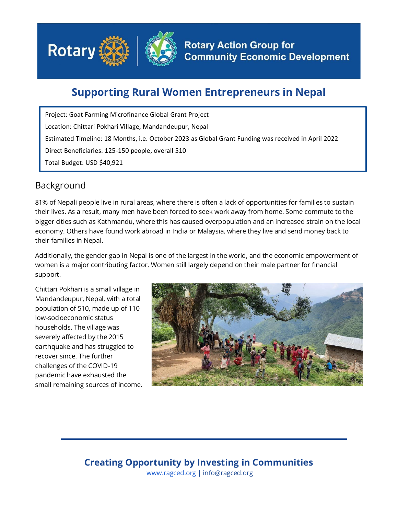

## **Supporting Rural Women Entrepreneurs in Nepal**

Project: Goat Farming Microfinance Global Grant Project Location: Chittari Pokhari Village, Mandandeupur, Nepal Estimated Timeline: 18 Months, i.e. October 2023 as Global Grant Funding was received in April 2022 Direct Beneficiaries: 125-150 people, overall 510 Total Budget: USD \$40,921

## Background

81% of Nepali people live in rural areas, where there is often a lack of opportunities for families to sustain their lives. As a result, many men have been forced to seek work away from home. Some commute to the bigger cities such as Kathmandu, where this has caused overpopulation and an increased strain on the local economy. Others have found work abroad in India or Malaysia, where they live and send money back to their families in Nepal.

Additionally, the gender gap in Nepal is one of the largest in the world, and the economic empowerment of women is a major contributing factor. Women still largely depend on their male partner for financial support.

Chittari Pokhari is a small village in Mandandeupur, Nepal, with a total population of 510, made up of 110 low-socioeconomic status households. The village was severely affected by the 2015 earthquake and has struggled to recover since. The further challenges of the COVID-19 pandemic have exhausted the small remaining sources of income.



## **Creating Opportunity by Investing in Communities** [www.ragced.org](http://www.ragced.org/) | info@ragced.org